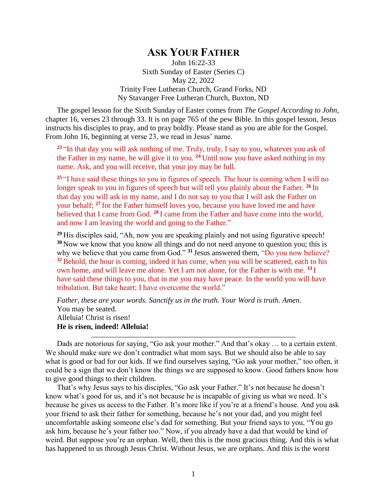## **ASK YOUR FATHER**

John 16:22-33 Sixth Sunday of Easter (Series C) May 22, 2022 Trinity Free Lutheran Church, Grand Forks, ND Ny Stavanger Free Lutheran Church, Buxton, ND

The gospel lesson for the Sixth Sunday of Easter comes from *The Gospel According to John*, chapter 16, verses 23 through 33. It is on page 765 of the pew Bible. In this gospel lesson, Jesus instructs his disciples to pray, and to pray boldly. Please stand as you are able for the Gospel. From John 16, beginning at verse 23, we read in Jesus' name.

**<sup>23</sup>** "In that day you will ask nothing of me. Truly, truly, I say to you, whatever you ask of the Father in my name, he will give it to you. **<sup>24</sup>** Until now you have asked nothing in my name. Ask, and you will receive, that your joy may be full.

<sup>25</sup> "I have said these things to you in figures of speech. The hour is coming when I will no longer speak to you in figures of speech but will tell you plainly about the Father. **<sup>26</sup>** In that day you will ask in my name, and I do not say to you that I will ask the Father on your behalf; **<sup>27</sup>** for the Father himself loves you, because you have loved me and have believed that I came from God. <sup>28</sup> I came from the Father and have come into the world, and now I am leaving the world and going to the Father."

**<sup>29</sup>** His disciples said, "Ah, now you are speaking plainly and not using figurative speech! **<sup>30</sup>** Now we know that you know all things and do not need anyone to question you; this is why we believe that you came from God."<sup>31</sup> Jesus answered them, "Do you now believe? <sup>32</sup> Behold, the hour is coming, indeed it has come, when you will be scattered, each to his own home, and will leave me alone. Yet I am not alone, for the Father is with me. **<sup>33</sup>** I have said these things to you, that in me you may have peace. In the world you will have tribulation. But take heart; I have overcome the world."

*Father, these are your words. Sanctify us in the truth. Your Word is truth. Amen.* You may be seated. Alleluia! Christ is risen! **He is risen, indeed! Alleluia!**

Dads are notorious for saying, "Go ask your mother." And that's okay … to a certain extent. We should make sure we don't contradict what mom says. But we should also be able to say what is good or bad for our kids. If we find ourselves saying, "Go ask your mother," too often, it could be a sign that we don't know the things we are supposed to know. Good fathers know how to give good things to their children.

That's why Jesus says to his disciples, "Go ask your Father." It's not because he doesn't know what's good for us, and it's not because he is incapable of giving us what we need. It's because he gives us access to the Father. It's more like if you're at a friend's house. And you ask your friend to ask their father for something, because he's not your dad, and you might feel uncomfortable asking someone else's dad for something. But your friend says to you, "You go ask him, because he's your father too." Now, if you already have a dad that would be kind of weird. But suppose you're an orphan. Well, then this is the most gracious thing. And this is what has happened to us through Jesus Christ. Without Jesus, we are orphans. And this is the worst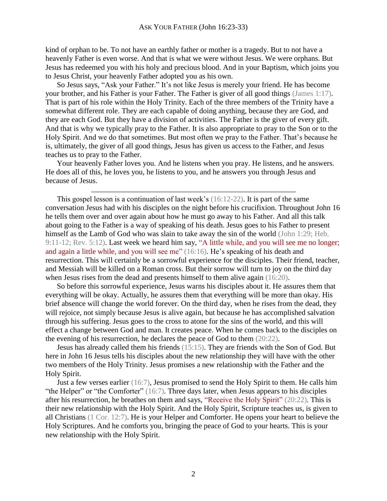kind of orphan to be. To not have an earthly father or mother is a tragedy. But to not have a heavenly Father is even worse. And that is what we were without Jesus. We were orphans. But Jesus has redeemed you with his holy and precious blood. And in your Baptism, which joins you to Jesus Christ, your heavenly Father adopted you as his own.

So Jesus says, "Ask your Father." It's not like Jesus is merely your friend. He has become your brother, and his Father is your Father. The Father is giver of all good things (James 1:17). That is part of his role within the Holy Trinity. Each of the three members of the Trinity have a somewhat different role. They are each capable of doing anything, because they are God, and they are each God. But they have a division of activities. The Father is the giver of every gift. And that is why we typically pray to the Father. It is also appropriate to pray to the Son or to the Holy Spirit. And we do that sometimes. But most often we pray to the Father. That's because he is, ultimately, the giver of all good things, Jesus has given us access to the Father, and Jesus teaches us to pray to the Father.

Your heavenly Father loves you. And he listens when you pray. He listens, and he answers. He does all of this, he loves you, he listens to you, and he answers you through Jesus and because of Jesus.

This gospel lesson is a continuation of last week's (16:12-22). It is part of the same conversation Jesus had with his disciples on the night before his crucifixion. Throughout John 16 he tells them over and over again about how he must go away to his Father. And all this talk about going to the Father is a way of speaking of his death. Jesus goes to his Father to present himself as the Lamb of God who was slain to take away the sin of the world (John 1:29; Heb. 9:11-12; Rev. 5:12). Last week we heard him say, "A little while, and you will see me no longer; and again a little while, and you will see me" (16:16). He's speaking of his death and resurrection. This will certainly be a sorrowful experience for the disciples. Their friend, teacher, and Messiah will be killed on a Roman cross. But their sorrow will turn to joy on the third day when Jesus rises from the dead and presents himself to them alive again (16:20).

So before this sorrowful experience, Jesus warns his disciples about it. He assures them that everything will be okay. Actually, he assures them that everything will be more than okay. His brief absence will change the world forever. On the third day, when he rises from the dead, they will rejoice, not simply because Jesus is alive again, but because he has accomplished salvation through his suffering. Jesus goes to the cross to atone for the sins of the world, and this will effect a change between God and man. It creates peace. When he comes back to the disciples on the evening of his resurrection, he declares the peace of God to them (20:22).

Jesus has already called them his friends (15:15). They are friends with the Son of God. But here in John 16 Jesus tells his disciples about the new relationship they will have with the other two members of the Holy Trinity. Jesus promises a new relationship with the Father and the Holy Spirit.

Just a few verses earlier (16:7), Jesus promised to send the Holy Spirit to them. He calls him "the Helper" or "the Comforter" (16:7). Three days later, when Jesus appears to his disciples after his resurrection, he breathes on them and says, "Receive the Holy Spirit" (20:22). This is their new relationship with the Holy Spirit. And the Holy Spirit, Scripture teaches us, is given to all Christians (1 Cor. 12:7). He is your Helper and Comforter. He opens your heart to believe the Holy Scriptures. And he comforts you, bringing the peace of God to your hearts. This is your new relationship with the Holy Spirit.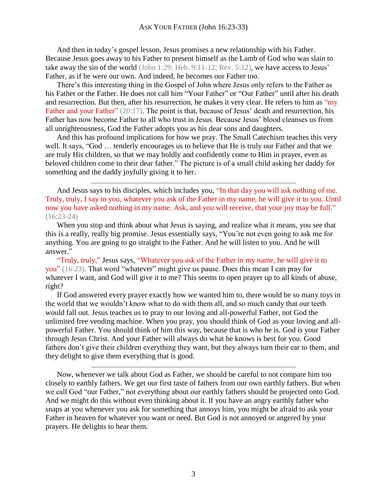And then in today's gospel lesson, Jesus promises a new relationship with his Father. Because Jesus goes away to his Father to present himself as the Lamb of God who was slain to take away the sin of the world (John 1:29; Heb. 9:11-12; Rev. 5:12), we have access to Jesus' Father, as if he were our own. And indeed, he becomes our Father too.

There's this interesting thing in the Gospel of John where Jesus only refers to the Father as his Father or the Father. He does not call him "Your Father" or "Our Father" until after his death and resurrection. But then, after his resurrection, he makes it very clear. He refers to him as "my Father and your Father" (20:17). The point is that, because of Jesus' death and resurrection, his Father has now become Father to all who trust in Jesus. Because Jesus' blood cleanses us from all unrighteousness, God the Father adopts you as his dear sons and daughters.

And this has profound implications for how we pray. The Small Catechism teaches this very well. It says, "God … tenderly encourages us to believe that He is truly our Father and that we are truly His children, so that we may boldly and confidently come to Him in prayer, even as beloved children come to their dear father." The picture is of a small child asking her daddy for something and the daddy joyfully giving it to her.

And Jesus says to his disciples, which includes you, "In that day you will ask nothing of me. Truly, truly, I say to you, whatever you ask of the Father in my name, he will give it to you. Until now you have asked nothing in my name. Ask, and you will receive, that your joy may be full." (16:23-24)

When you stop and think about what Jesus is saying, and realize what it means, you see that this is a really, really big promise. Jesus essentially says, "You're not even going to ask me for anything. You are going to go straight to the Father. And he will listen to you. And he will answer."

"Truly, truly," Jesus says, "Whatever you ask of the Father in my name, he will give it to you" (16:23). That word "whatever" might give us pause. Does this mean I can pray for whatever I want, and God will give it to me? This seems to open prayer up to all kinds of abuse, right?

If God answered every prayer exactly how we wanted him to, there would be so many toys in the world that we wouldn't know what to do with them all, and so much candy that our teeth would fall out. Jesus teaches us to pray to our loving and all-powerful Father, not God the unlimited free vending machine. When you pray, you should think of God as your loving and allpowerful Father. You should think of him this way, because that is who he is. God is your Father through Jesus Christ. And your Father will always do what he knows is best for you. Good fathers don't give their children everything they want, but they always turn their ear to them, and they delight to give them everything that is good.

Now, whenever we talk about God as Father, we should be careful to not compare him too closely to earthly fathers. We get our first taste of fathers from our own earthly fathers. But when we call God "our Father," not everything about our earthly fathers should be projected onto God. And we might do this without even thinking about it. If you have an angry earthly father who snaps at you whenever you ask for something that annoys him, you might be afraid to ask your Father in heaven for whatever you want or need. But God is not annoyed or angered by your prayers. He delights to hear them.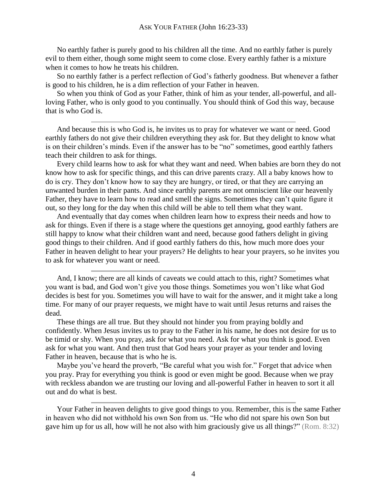No earthly father is purely good to his children all the time. And no earthly father is purely evil to them either, though some might seem to come close. Every earthly father is a mixture when it comes to how he treats his children.

So no earthly father is a perfect reflection of God's fatherly goodness. But whenever a father is good to his children, he is a dim reflection of your Father in heaven.

So when you think of God as your Father, think of him as your tender, all-powerful, and allloving Father, who is only good to you continually. You should think of God this way, because that is who God is.

And because this is who God is, he invites us to pray for whatever we want or need. Good earthly fathers do not give their children everything they ask for. But they delight to know what is on their children's minds. Even if the answer has to be "no" sometimes, good earthly fathers teach their children to ask for things.

Every child learns how to ask for what they want and need. When babies are born they do not know how to ask for specific things, and this can drive parents crazy. All a baby knows how to do is cry. They don't know how to say they are hungry, or tired, or that they are carrying an unwanted burden in their pants. And since earthly parents are not omniscient like our heavenly Father, they have to learn how to read and smell the signs. Sometimes they can't quite figure it out, so they long for the day when this child will be able to tell them what they want.

And eventually that day comes when children learn how to express their needs and how to ask for things. Even if there is a stage where the questions get annoying, good earthly fathers are still happy to know what their children want and need, because good fathers delight in giving good things to their children. And if good earthly fathers do this, how much more does your Father in heaven delight to hear your prayers? He delights to hear your prayers, so he invites you to ask for whatever you want or need.

And, I know; there are all kinds of caveats we could attach to this, right? Sometimes what you want is bad, and God won't give you those things. Sometimes you won't like what God decides is best for you. Sometimes you will have to wait for the answer, and it might take a long time. For many of our prayer requests, we might have to wait until Jesus returns and raises the dead.

These things are all true. But they should not hinder you from praying boldly and confidently. When Jesus invites us to pray to the Father in his name, he does not desire for us to be timid or shy. When you pray, ask for what you need. Ask for what you think is good. Even ask for what you want. And then trust that God hears your prayer as your tender and loving Father in heaven, because that is who he is.

Maybe you've heard the proverb, "Be careful what you wish for." Forget that advice when you pray. Pray for everything you think is good or even might be good. Because when we pray with reckless abandon we are trusting our loving and all-powerful Father in heaven to sort it all out and do what is best.

Your Father in heaven delights to give good things to you. Remember, this is the same Father in heaven who did not withhold his own Son from us. "He who did not spare his own Son but gave him up for us all, how will he not also with him graciously give us all things?" (Rom. 8:32)